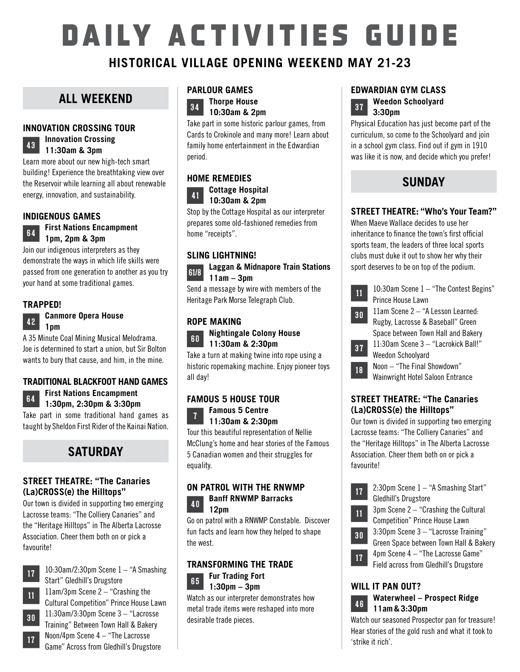# DAILY ACTIVITIES GUIDE

#### **HISTORICAL VILLAGE OPENING WEEKEND MAY 21-23**

#### **ALL WEEKEND**

#### **INNOVATION CROSSING TOUR**

#### **<sup>43</sup> Innovation Crossing 11:3Oam & 3pm**

Learn more about our new high-tech smart building! Experience the breathtaking view over the Reservoir while learning all about renewable energy, innovation, and sustainability.

#### **INDIGENOUS GAMES**

#### **64 First Nations Encampment 1pm, 2pm & 3pm**

Join our indigenous interpreters as they demonstrate the ways in which life skills were passed from one generation to another as you try your hand at some traditional games.

#### **TRAPPED!**

**<sup>42</sup> Canmore Opera House 1pm**

A 35 Minute Coal Mining Musical Melodrama. Joe is determined to start a union, but Sir Bolton wants to bury that cause, and him, in the mine.

#### **TRADITIONAL BLACKFOOT HAND GAMES**

**<sup>64</sup> First Nations Encampment 1:3Opm, 2:3Opm & 3:3Opm**

Take part in some traditional hand games as taught by Sheldon First Rider of the Kainai Nation.

### **SATURDAY**

#### **STREET THEATRE: "The Canaries (La)CROSS(e) the Hilltops"**

Our town is divided in supporting two emerging Lacrosse teams: "The Colliery Canaries" and the "Heritage Hilltops" in The Alberta Lacrosse Association. Cheer them both on or pick a favourite!



**<sup>17</sup>** 1O:3Oam/2:3Opm Scene 1 – "A Smashing Start" Gledhill's Drugstore

**11** 11am/3pm Scene 2 – "Crashing the Cultural Competition" Prince House Lawn **<sup>30</sup>** 11:3Oam/3:3Opm Scene 3 – "Lacrosse Training" Between Town Hall & Bakery **17** Noon/4pm Scene 4 – "The Lacrosse Game" Across from Gledhill's Drugstore

#### **PARLOUR GAMES**

**<sup>34</sup> Thorpe House 1O:3Oam & 2pm**

Take part in some historic parlour games, from Cards to Crokinole and many more! Learn about family home entertainment in the Edwardian period.

#### **HOME REMEDIES**



Stop by the Cottage Hospital as our interpreter prepares some old-fashioned remedies from home "receipts".

#### **SLING LIGHTNING!**

**61/8 Laggan & Midnapore Train Stations 11am – 3pm**

Send a message by wire with members of the Heritage Park Morse Telegraph Club.

#### **ROPE MAKING**



Take a turn at making twine into rope using a historic ropemaking machine. Enjoy pioneer toys all day!

#### **FAMOUS 5 HOUSE TOUR <sup>7</sup> Famous 5 Centre 11:3Oam & 2:3Opm**

Tour this beautiful representation of Nellie McClung's home and hear stories of the Famous 5 Canadian women and their struggles for equality.

#### **ON PATROL WITH THE RNWMP <sup>40</sup> Banff RNWMP Barracks 12pm**

Go on patrol with a RNWMP Constable. Discover fun facts and learn how they helped to shape the west.

#### **TRANSFORMING THE TRADE 6 5 Fur Trading Fort 1:3Opm – 3pm**



#### **EDWARDIAN GYM CLASS**



Physical Education has just become part of the curriculum, so come to the Schoolyard and join in a school gym class. Find out if gym in 1910 was like it is now, and decide which you prefer!

#### **SUNDAY**

#### **STREET THEATRE: "Who's Your Team?"**

When Maeve Wallace decides to use her inheritance to finance the town's first official sports team, the leaders of three local sports clubs must duke it out to show her why their sport deserves to be on top of the podium.

| 11 | 10:30am Scene 1 - "The Contest Begins"  |
|----|-----------------------------------------|
|    | Prince House Lawn                       |
| 30 | 11am Scene 2 - "A Lesson Learned:       |
|    | Rugby, Lacrosse & Baseball" Green       |
|    | Space between Town Hall and Bakery      |
| 37 | 11:30am Scene 3 - "Lacrokick Ball!"     |
|    | Weedon Schoolyard                       |
| 18 | Noon - "The Final Showdown"             |
|    | <b>Wainwright Hotel Saloon Entrance</b> |

#### **STREET THEATRE: "The Canaries (La)CROSS(e) the Hilltops"**

Our town is divided in supporting two emerging Lacrosse teams: "The Colliery Canaries" and the "Heritage Hilltops" in The Alberta Lacrosse Association. Cheer them both on or pick a favourite!





**<sup>30</sup>** 3:3Opm Scene 3 – "Lacrosse Training"

Green Space between Town Hall & Bakery

- **17** 4pm Scene 4 "The Lacrosse Game"
	- Field across from Gledhill's Drugstore

#### **WILL IT PAN OUT?**

## **<sup>46</sup> Waterwheel – Prospect Ridge 11am&3:3Opm**

Watch our seasoned Prospector pan for treasure! Hear stories of the gold rush and what it took to 'strike it rich'.